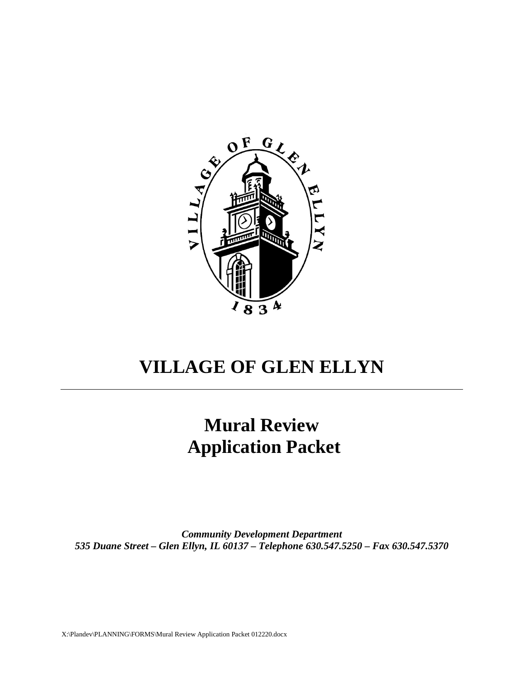

# **VILLAGE OF GLEN ELLYN**

# **Mural Review Application Packet**

*Community Development Department 535 Duane Street – Glen Ellyn, IL 60137 – Telephone 630.547.5250 – Fax 630.547.5370*

X:\Plandev\PLANNING\FORMS\Mural Review Application Packet 012220.docx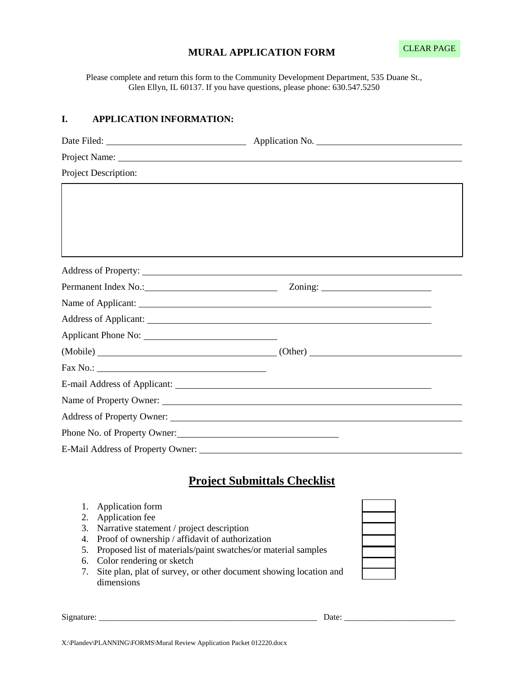#### **MURAL APPLICATION FORM**

Please complete and return this form to the Community Development Department, 535 Duane St., Glen Ellyn, IL 60137. If you have questions, please phone: 630.547.5250

#### **I. APPLICATION INFORMATION:**

| Project Description:         |                                      |  |
|------------------------------|--------------------------------------|--|
|                              |                                      |  |
|                              |                                      |  |
|                              |                                      |  |
|                              |                                      |  |
|                              |                                      |  |
|                              |                                      |  |
|                              | Permanent Index No.: Zoning: Zoning: |  |
|                              |                                      |  |
|                              |                                      |  |
|                              |                                      |  |
|                              | (Mobile) (Other)                     |  |
|                              |                                      |  |
|                              |                                      |  |
|                              |                                      |  |
|                              |                                      |  |
| Phone No. of Property Owner: |                                      |  |
|                              |                                      |  |
|                              |                                      |  |

## **Project Submittals Checklist**

- 1. Application form
- 2. Application fee
- 3. Narrative statement / project description
- 4. Proof of ownership / affidavit of authorization
- 5. Proposed list of materials/paint swatches/or material samples
- 6. Color rendering or sketch
- 7. Site plan, plat of survey, or other document showing location and dimensions

Signature: \_\_\_\_\_\_\_\_\_\_\_\_\_\_\_\_\_\_\_\_\_\_\_\_\_\_\_\_\_\_\_\_\_\_\_\_\_\_\_\_\_\_\_\_\_\_\_\_\_\_\_ Date: \_\_\_\_\_\_\_\_\_\_\_\_\_\_\_\_\_\_\_\_\_\_\_\_\_\_

 $\mathcal{L}_\text{max}$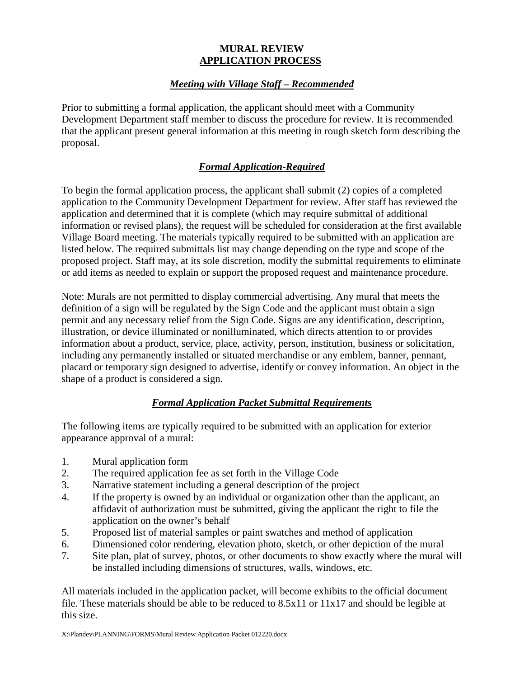#### **MURAL REVIEW APPLICATION PROCESS**

#### *Meeting with Village Staff – Recommended*

Prior to submitting a formal application, the applicant should meet with a Community Development Department staff member to discuss the procedure for review. It is recommended that the applicant present general information at this meeting in rough sketch form describing the proposal.

### *Formal Application-Required*

To begin the formal application process, the applicant shall submit (2) copies of a completed application to the Community Development Department for review. After staff has reviewed the application and determined that it is complete (which may require submittal of additional information or revised plans), the request will be scheduled for consideration at the first available Village Board meeting. The materials typically required to be submitted with an application are listed below. The required submittals list may change depending on the type and scope of the proposed project. Staff may, at its sole discretion, modify the submittal requirements to eliminate or add items as needed to explain or support the proposed request and maintenance procedure.

Note: Murals are not permitted to display commercial advertising. Any mural that meets the definition of a sign will be regulated by the Sign Code and the applicant must obtain a sign permit and any necessary relief from the Sign Code. Signs are any identification, description, illustration, or device illuminated or nonilluminated, which directs attention to or provides information about a product, service, place, activity, person, institution, business or solicitation, including any permanently installed or situated merchandise or any emblem, banner, pennant, placard or temporary sign designed to advertise, identify or convey information. An object in the shape of a product is considered a sign.

#### *Formal Application Packet Submittal Requirements*

The following items are typically required to be submitted with an application for exterior appearance approval of a mural:

- 1. Mural application form
- 2. The required application fee as set forth in the Village Code
- 3. Narrative statement including a general description of the project
- 4. If the property is owned by an individual or organization other than the applicant, an affidavit of authorization must be submitted, giving the applicant the right to file the application on the owner's behalf
- 5. Proposed list of material samples or paint swatches and method of application
- 6. Dimensioned color rendering, elevation photo, sketch, or other depiction of the mural
- 7. Site plan, plat of survey, photos, or other documents to show exactly where the mural will be installed including dimensions of structures, walls, windows, etc.

All materials included in the application packet, will become exhibits to the official document file. These materials should be able to be reduced to 8.5x11 or 11x17 and should be legible at this size.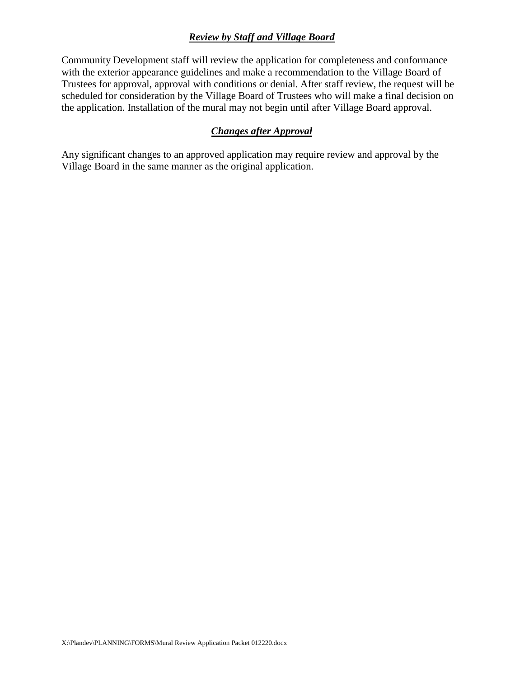#### *Review by Staff and Village Board*

Community Development staff will review the application for completeness and conformance with the exterior appearance guidelines and make a recommendation to the Village Board of Trustees for approval, approval with conditions or denial. After staff review, the request will be scheduled for consideration by the Village Board of Trustees who will make a final decision on the application. Installation of the mural may not begin until after Village Board approval.

### *Changes after Approval*

Any significant changes to an approved application may require review and approval by the Village Board in the same manner as the original application.